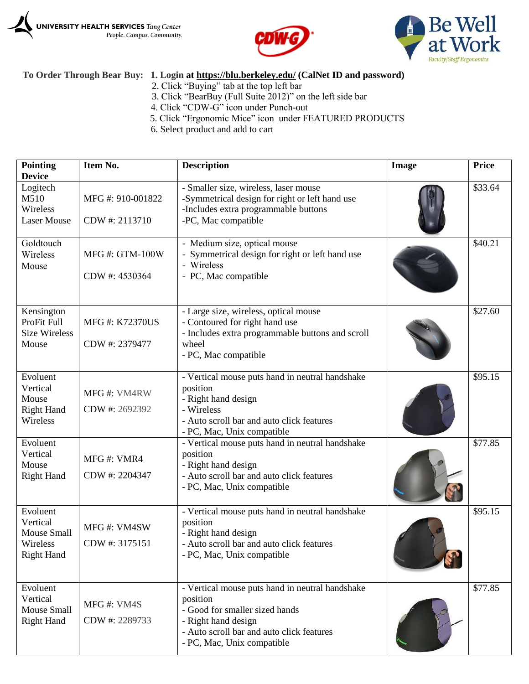





## **To Order Through Bear Buy: 1. Login at<https://blu.berkeley.edu/> (CalNet ID and password)**

- 2. Click "Buying" tab at the top left bar
- 3. Click "BearBuy (Full Suite 2012)" on the left side bar
- 4. Click "CDW-G" icon under Punch-out
- 5. Click "Ergonomic Mice" icon under FEATURED PRODUCTS
- 6. Select product and add to cart

| <b>Pointing</b><br><b>Device</b>                                            | Item No.                                | <b>Description</b>                                                                                                                                                                              | Image | <b>Price</b> |
|-----------------------------------------------------------------------------|-----------------------------------------|-------------------------------------------------------------------------------------------------------------------------------------------------------------------------------------------------|-------|--------------|
| Logitech<br>M510<br>Wireless<br><b>Laser Mouse</b>                          | MFG #: 910-001822<br>CDW #: 2113710     | - Smaller size, wireless, laser mouse<br>-Symmetrical design for right or left hand use<br>-Includes extra programmable buttons<br>-PC, Mac compatible                                          |       | \$33.64      |
| Goldtouch<br>Wireless<br>Mouse                                              | <b>MFG#: GTM-100W</b><br>CDW #: 4530364 | - Medium size, optical mouse<br>- Symmetrical design for right or left hand use<br>- Wireless<br>- PC, Mac compatible                                                                           |       | \$40.21      |
| Kensington<br>ProFit Full<br><b>Size Wireless</b><br>Mouse                  | <b>MFG#: K72370US</b><br>CDW #: 2379477 | - Large size, wireless, optical mouse<br>- Contoured for right hand use<br>- Includes extra programmable buttons and scroll<br>wheel<br>- PC, Mac compatible                                    |       | \$27.60      |
| Evoluent<br>Vertical<br>Mouse<br><b>Right Hand</b><br>Wireless              | MFG#: VM4RW<br>CDW #: 2692392           | - Vertical mouse puts hand in neutral handshake<br>position<br>- Right hand design<br>- Wireless<br>- Auto scroll bar and auto click features<br>- PC, Mac, Unix compatible                     |       | \$95.15      |
| Evoluent<br>Vertical<br>Mouse<br><b>Right Hand</b>                          | MFG#: VMR4<br>CDW #: 2204347            | - Vertical mouse puts hand in neutral handshake<br>position<br>- Right hand design<br>- Auto scroll bar and auto click features<br>- PC, Mac, Unix compatible                                   |       | \$77.85      |
| Evoluent<br>Vertical<br><b>Mouse Small</b><br>Wireless<br><b>Right Hand</b> | MFG#: VM4SW<br>CDW #: 3175151           | - Vertical mouse puts hand in neutral handshake<br>position<br>- Right hand design<br>- Auto scroll bar and auto click features<br>- PC, Mac, Unix compatible                                   |       | \$95.15      |
| Evoluent<br>Vertical<br>Mouse Small<br><b>Right Hand</b>                    | MFG#: VM4S<br>CDW #: 2289733            | - Vertical mouse puts hand in neutral handshake<br>position<br>- Good for smaller sized hands<br>- Right hand design<br>- Auto scroll bar and auto click features<br>- PC, Mac, Unix compatible |       | \$77.85      |